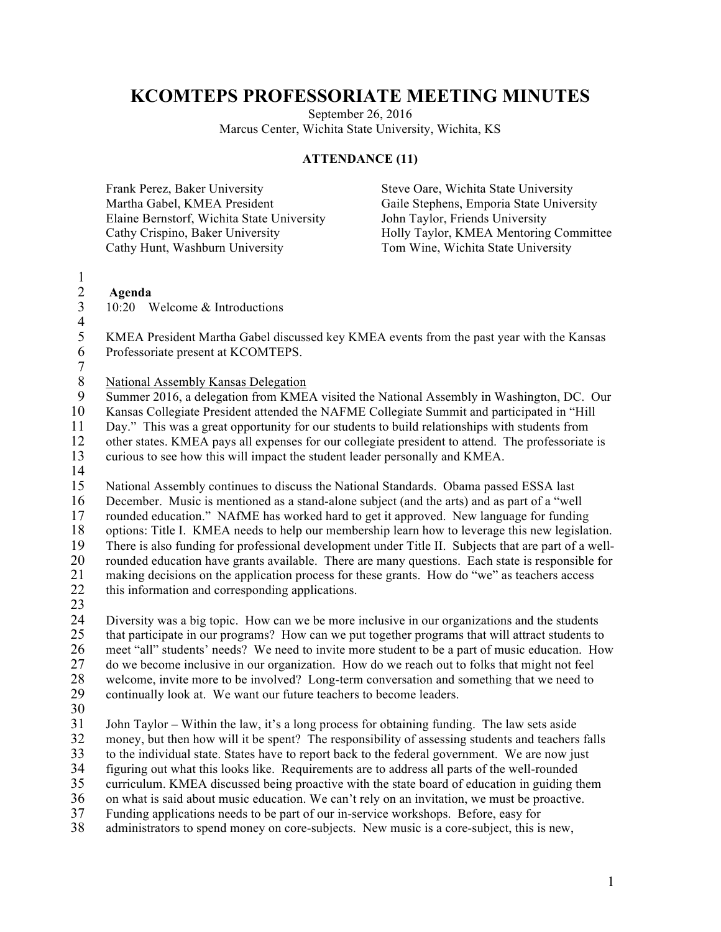### **KCOMTEPS PROFESSORIATE MEETING MINUTES**

September 26, 2016 Marcus Center, Wichita State University, Wichita, KS

#### **ATTENDANCE (11)**

| Frank Perez, Baker University              | Steve Oare, Wichita State University     |
|--------------------------------------------|------------------------------------------|
| Martha Gabel, KMEA President               | Gaile Stephens, Emporia State University |
| Elaine Bernstorf, Wichita State University | John Taylor, Friends University          |
| Cathy Crispino, Baker University           | Holly Taylor, KMEA Mentoring Committee   |
| Cathy Hunt, Washburn University            | Tom Wine, Wichita State University       |

## $\frac{1}{2}$

#### 2 **Agenda** 3 10:20 Welcome & Introductions

 $\frac{4}{5}$ 

5 KMEA President Martha Gabel discussed key KMEA events from the past year with the Kansas Professoriate present at KCOMTEPS.

7

8 National Assembly Kansas Delegation<br>9 Summer 2016, a delegation from KME

9 Summer 2016, a delegation from KMEA visited the National Assembly in Washington, DC. Our

10 Kansas Collegiate President attended the NAFME Collegiate Summit and participated in "Hill

11 Day." This was a great opportunity for our students to build relationships with students from<br>12 other states. KMEA pays all expenses for our collegiate president to attend. The professoriate

12 other states. KMEA pays all expenses for our collegiate president to attend. The professoriate is<br>13 curious to see how this will impact the student leader personally and KMEA.

13 curious to see how this will impact the student leader personally and KMEA.

 $\frac{14}{15}$ 

15 National Assembly continues to discuss the National Standards. Obama passed ESSA last 16 December. Music is mentioned as a stand-alone subject (and the arts) and as part of a "well<br>17 rounded education." NAfME has worked hard to get it approved. New language for funding rounded education." NAfME has worked hard to get it approved. New language for funding 18 options: Title I. KMEA needs to help our membership learn how to leverage this new legislation.<br>19 There is also funding for professional development under Title II. Subjects that are part of a well-19 There is also funding for professional development under Title II. Subjects that are part of a well-<br>20 rounded education have grants available. There are many questions. Each state is responsible for 20 rounded education have grants available. There are many questions. Each state is responsible for 21 making decisions on the application process for these grants. How do "we" as teachers access<br>22 this information and corresponding applications. this information and corresponding applications.

23

24 Diversity was a big topic. How can we be more inclusive in our organizations and the students<br>25 that participate in our programs? How can we put together programs that will attract students to 25 that participate in our programs? How can we put together programs that will attract students to 26 meet "all" students' needs? We need to invite more student to be a part of music education. How<br>27 do we become inclusive in our organization. How do we reach out to folks that might not feel 27 do we become inclusive in our organization. How do we reach out to folks that might not feel<br>28 welcome, invite more to be involved? Long-term conversation and something that we need to welcome, invite more to be involved? Long-term conversation and something that we need to 29 continually look at. We want our future teachers to become leaders.

30

31 John Taylor – Within the law, it's a long process for obtaining funding. The law sets aside<br>32 money, but then how will it be spent? The responsibility of assessing students and teachers 32 money, but then how will it be spent? The responsibility of assessing students and teachers falls<br>33 to the individual state. States have to report back to the federal government. We are now just 33 to the individual state. States have to report back to the federal government. We are now just

34 figuring out what this looks like. Requirements are to address all parts of the well-rounded<br>35 curriculum. KMEA discussed being proactive with the state board of education in guiding the 35 curriculum. KMEA discussed being proactive with the state board of education in guiding them

36 on what is said about music education. We can't rely on an invitation, we must be proactive.

37 Funding applications needs to be part of our in-service workshops. Before, easy for

38 administrators to spend money on core-subjects. New music is a core-subject, this is new,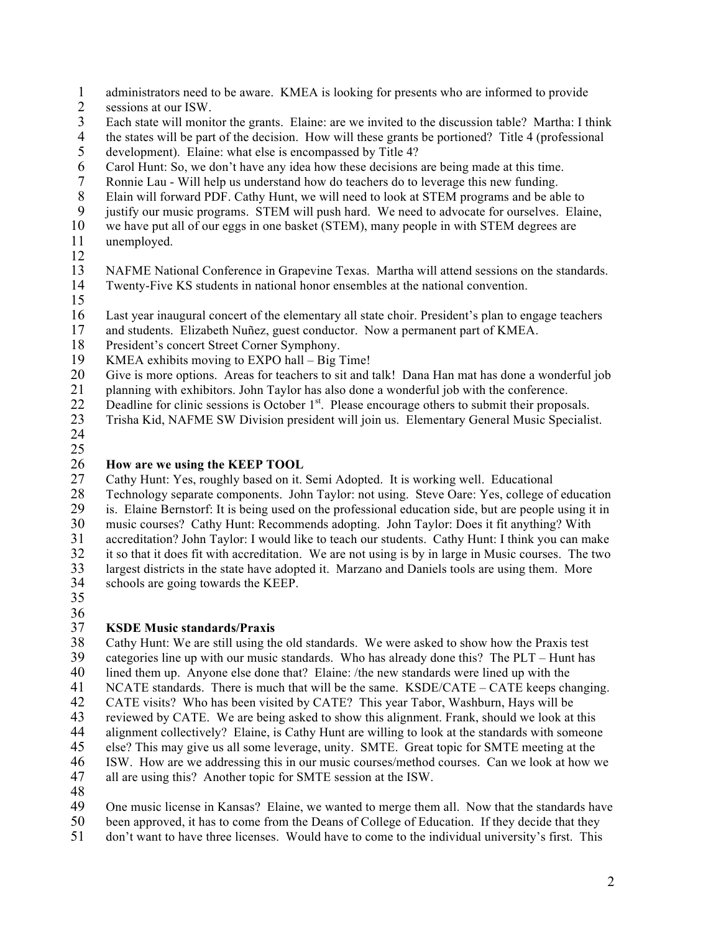- 1 administrators need to be aware. KMEA is looking for presents who are informed to provide<br>2 sessions at our ISW.
- sessions at our ISW.
- Each state will monitor the grants. Elaine: are we invited to the discussion table? Martha: I think
- 4 the states will be part of the decision. How will these grants be portioned? Title 4 (professional development). Elaine: what else is encompassed by Title 4?
- development). Elaine: what else is encompassed by Title 4?
- 6 Carol Hunt: So, we don't have any idea how these decisions are being made at this time.<br>7 Ronnie Lau Will help us understand how do teachers do to leverage this new funding.
- Ronnie Lau Will help us understand how do teachers do to leverage this new funding.
- Elain will forward PDF. Cathy Hunt, we will need to look at STEM programs and be able to
- justify our music programs. STEM will push hard. We need to advocate for ourselves. Elaine,
- we have put all of our eggs in one basket (STEM), many people in with STEM degrees are unemployed.
- 
- 
- NAFME National Conference in Grapevine Texas. Martha will attend sessions on the standards.
- Twenty-Five KS students in national honor ensembles at the national convention.
- 
- 16 Last year inaugural concert of the elementary all state choir. President's plan to engage teachers 17 and students. Elizabeth Nuñez, guest conductor. Now a permanent part of KMEA.
- and students. Elizabeth Nuñez, guest conductor. Now a permanent part of KMEA.
- President's concert Street Corner Symphony.
- KMEA exhibits moving to EXPO hall Big Time!
- Give is more options. Areas for teachers to sit and talk! Dana Han mat has done a wonderful job
- planning with exhibitors. John Taylor has also done a wonderful job with the conference.
- Deadline for clinic sessions is October 1<sup>st</sup>. Please encourage others to submit their proposals.<br>23 Trisha Kid, NAFME SW Division president will join us. Elementary General Music Specialis
- Trisha Kid, NAFME SW Division president will join us. Elementary General Music Specialist.
- 

## 26 **How are we using the KEEP TOOL**<br>27 Cathy Hunt: Yes, roughly based on it.

- Cathy Hunt: Yes, roughly based on it. Semi Adopted. It is working well. Educational
- Technology separate components. John Taylor: not using. Steve Oare: Yes, college of education is. Elaine Bernstorf: It is being used on the professional education side, but are people using it in music courses? Cathy Hunt: Recommends adopting. John Taylor: Does it fit anything? With 31 accreditation? John Taylor: I would like to teach our students. Cathy Hunt: I think you can make<br>32 it so that it does fit with accreditation. We are not using is by in large in Music courses. The two it so that it does fit with accreditation. We are not using is by in large in Music courses. The two
- 33 largest districts in the state have adopted it. Marzano and Daniels tools are using them. More schools are going towards the KEEP.
- schools are going towards the KEEP.
- 
- 

# $\frac{36}{37}$

- **KSDE Music standards/Praxis** Cathy Hunt: We are still using the old standards. We were asked to show how the Praxis test categories line up with our music standards. Who has already done this? The PLT – Hunt has lined them up. Anyone else done that? Elaine: /the new standards were lined up with the
- 
- 41 NCATE standards. There is much that will be the same. KSDE/CATE CATE keeps changing.<br>42 CATE visits? Who has been visited by CATE? This year Tabor. Washburn. Have will be CATE visits? Who has been visited by CATE? This year Tabor, Washburn, Hays will be
- 
- 43 reviewed by CATE. We are being asked to show this alignment. Frank, should we look at this alignment collectively? Elaine, is Cathy Hunt are willing to look at the standards with someone alignment collectively? Elaine, is Cathy Hunt are willing to look at the standards with someone
- else? This may give us all some leverage, unity. SMTE. Great topic for SMTE meeting at the
- 
- 16 ISW. How are we addressing this in our music courses/method courses. Can we look at how we all are using this? Another topic for SMTE session at the ISW. all are using this? Another topic for SMTE session at the ISW.
- 
- One music license in Kansas? Elaine, we wanted to merge them all. Now that the standards have
- been approved, it has to come from the Deans of College of Education. If they decide that they
- don't want to have three licenses. Would have to come to the individual university's first. This